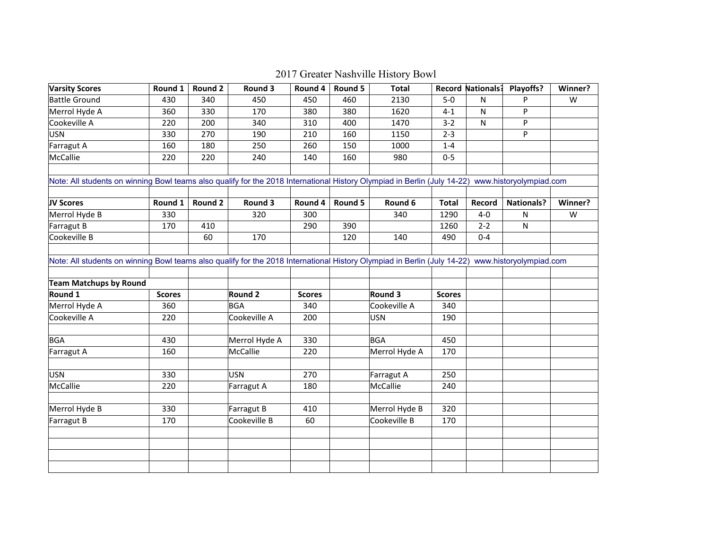| <b>Varsity Scores</b>                                                                                                                            | Round 1       | Round 2 | Round 3        | Round 4       | Round 5 | <b>Total</b>  |               |         | Record Nationals: Playoffs? | Winner? |
|--------------------------------------------------------------------------------------------------------------------------------------------------|---------------|---------|----------------|---------------|---------|---------------|---------------|---------|-----------------------------|---------|
| Battle Ground                                                                                                                                    | 430           | 340     | 450            | 450           | 460     | 2130          | $5-0$         | N       |                             | W       |
| Merrol Hyde A                                                                                                                                    | 360           | 330     | 170            | 380           | 380     | 1620          | $4 - 1$       | N       | P                           |         |
| Cookeville A                                                                                                                                     | 220           | 200     | 340            | 310           | 400     | 1470          | $3 - 2$       | N       | P                           |         |
| USN                                                                                                                                              | 330           | 270     | 190            | 210           | 160     | 1150          | $2 - 3$       |         | P                           |         |
| Farragut A                                                                                                                                       | 160           | 180     | 250            | 260           | 150     | 1000          | $1 - 4$       |         |                             |         |
| McCallie                                                                                                                                         | 220           | 220     | 240            | 140           | 160     | 980           | $0 - 5$       |         |                             |         |
|                                                                                                                                                  |               |         |                |               |         |               |               |         |                             |         |
| Note: All students on winning Bowl teams also qualify for the 2018 International History Olympiad in Berlin (July 14-22) www.historyolympiad.com |               |         |                |               |         |               |               |         |                             |         |
| JV Scores                                                                                                                                        | Round 1       | Round 2 | Round 3        | Round 4       | Round 5 | Round 6       | <b>Total</b>  | Record  | <b>Nationals?</b>           | Winner? |
| Merrol Hyde B                                                                                                                                    | 330           |         | 320            | 300           |         | 340           | 1290          | $4 - 0$ | N                           | W       |
| Farragut B                                                                                                                                       | 170           | 410     |                | 290           | 390     |               | 1260          | $2 - 2$ | ${\sf N}$                   |         |
| Cookeville B                                                                                                                                     |               | 60      | 170            |               | 120     | 140           | 490           | $0-4$   |                             |         |
|                                                                                                                                                  |               |         |                |               |         |               |               |         |                             |         |
| Note: All students on winning Bowl teams also qualify for the 2018 International History Olympiad in Berlin (July 14-22) www.historyolympiad.com |               |         |                |               |         |               |               |         |                             |         |
|                                                                                                                                                  |               |         |                |               |         |               |               |         |                             |         |
| <b>Team Matchups by Round</b>                                                                                                                    |               |         |                |               |         |               |               |         |                             |         |
| Round 1                                                                                                                                          | <b>Scores</b> |         | <b>Round 2</b> | <b>Scores</b> |         | Round 3       | <b>Scores</b> |         |                             |         |
| Merrol Hyde A                                                                                                                                    | 360           |         | <b>BGA</b>     | 340           |         | Cookeville A  | 340           |         |                             |         |
| Cookeville A                                                                                                                                     | 220           |         | Cookeville A   | 200           |         | <b>USN</b>    | 190           |         |                             |         |
|                                                                                                                                                  |               |         |                |               |         |               |               |         |                             |         |
| BGA                                                                                                                                              | 430           |         | Merrol Hyde A  | 330           |         | <b>BGA</b>    | 450           |         |                             |         |
| Farragut A                                                                                                                                       | 160           |         | McCallie       | 220           |         | Merrol Hyde A | 170           |         |                             |         |
|                                                                                                                                                  |               |         |                |               |         |               |               |         |                             |         |
| USN                                                                                                                                              | 330           |         | <b>USN</b>     | 270           |         | Farragut A    | 250           |         |                             |         |
| McCallie                                                                                                                                         | 220           |         | Farragut A     | 180           |         | McCallie      | 240           |         |                             |         |
|                                                                                                                                                  |               |         |                |               |         |               |               |         |                             |         |
| Merrol Hyde B                                                                                                                                    | 330           |         | Farragut B     | 410           |         | Merrol Hyde B | 320           |         |                             |         |
| Farragut B                                                                                                                                       | 170           |         | Cookeville B   | 60            |         | Cookeville B  | 170           |         |                             |         |
|                                                                                                                                                  |               |         |                |               |         |               |               |         |                             |         |
|                                                                                                                                                  |               |         |                |               |         |               |               |         |                             |         |
|                                                                                                                                                  |               |         |                |               |         |               |               |         |                             |         |
|                                                                                                                                                  |               |         |                |               |         |               |               |         |                             |         |

2017 Greater Nashville History Bowl